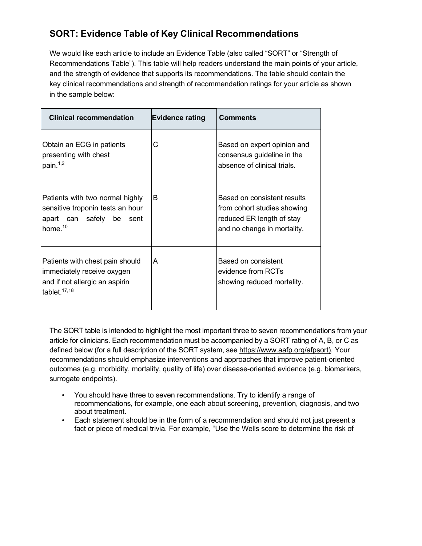## **SORT: Evidence Table of Key Clinical Recommendations**

We would like each article to include an Evidence Table (also called "SORT" or "Strength of Recommendations Table"). This table will help readers understand the main points of your article, and the strength of evidence that supports its recommendations. The table should contain the key clinical recommendations and strength of recommendation ratings for your article as shown in the sample below:

| <b>Clinical recommendation</b>                                                                                     | <b>Evidence rating</b> | <b>Comments</b>                                                                                                        |
|--------------------------------------------------------------------------------------------------------------------|------------------------|------------------------------------------------------------------------------------------------------------------------|
| Obtain an ECG in patients<br>presenting with chest<br>pain. <sup>1,2</sup>                                         | С                      | Based on expert opinion and<br>consensus guideline in the<br>absence of clinical trials.                               |
| Patients with two normal highly<br>sensitive troponin tests an hour<br>apart can safely be sent<br>home. $10$      | B                      | Based on consistent results<br>from cohort studies showing<br>reduced ER length of stay<br>and no change in mortality. |
| Patients with chest pain should<br>immediately receive oxygen<br>and if not allergic an aspirin<br>tablet. $17,18$ | A                      | Based on consistent<br>evidence from RCTs<br>showing reduced mortality.                                                |

The SORT table is intended to highlight the most important three to seven recommendations from your article for clinicians. Each recommendation must be accompanied by a SORT rating of A, B, or C as defined below (for a full description of the SORT system, see https://www.aafp.org/afpsort). Your recommendations should emphasize interventions and approaches that improve patient-oriented outcomes (e.g. morbidity, mortality, quality of life) over disease-oriented evidence (e.g. biomarkers, surrogate endpoints).

- You should have three to seven recommendations. Try to identify a range of recommendations, for example, one each about screening, prevention, diagnosis, and two about treatment.
- Each statement should be in the form of a recommendation and should not just present a fact or piece of medical trivia. For example, "Use the Wells score to determine the risk of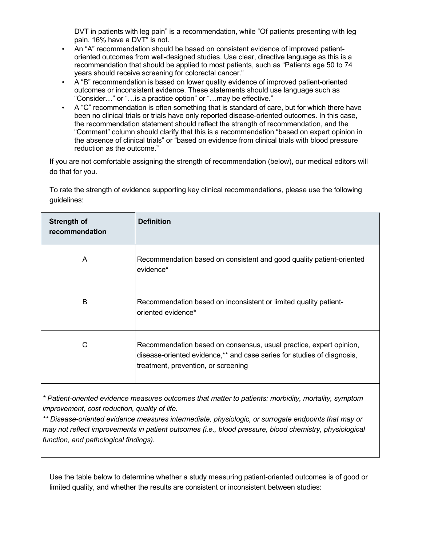DVT in patients with leg pain" is a recommendation, while "Of patients presenting with leg pain, 16% have a DVT" is not.

- An "A" recommendation should be based on consistent evidence of improved patientoriented outcomes from well-designed studies. Use clear, directive language as this is a recommendation that should be applied to most patients, such as "Patients age 50 to 74 years should receive screening for colorectal cancer."
- A "B" recommendation is based on lower quality evidence of improved patient-oriented outcomes or inconsistent evidence. These statements should use language such as "Consider…" or "…is a practice option" or "…may be effective."
- A "C" recommendation is often something that is standard of care, but for which there have been no clinical trials or trials have only reported disease-oriented outcomes. In this case, the recommendation statement should reflect the strength of recommendation, and the "Comment" column should clarify that this is a recommendation "based on expert opinion in the absence of clinical trials" or "based on evidence from clinical trials with blood pressure reduction as the outcome."

If you are not comfortable assigning the strength of recommendation (below), our medical editors will do that for you.

To rate the strength of evidence supporting key clinical recommendations, please use the following guidelines:

| <b>Strength of</b><br>recommendation | <b>Definition</b>                                                                                                                                                                   |
|--------------------------------------|-------------------------------------------------------------------------------------------------------------------------------------------------------------------------------------|
| A                                    | Recommendation based on consistent and good quality patient-oriented<br>evidence*                                                                                                   |
| B                                    | Recommendation based on inconsistent or limited quality patient-<br>oriented evidence*                                                                                              |
| C                                    | Recommendation based on consensus, usual practice, expert opinion,<br>disease-oriented evidence,** and case series for studies of diagnosis,<br>treatment, prevention, or screening |

*\* Patient-oriented evidence measures outcomes that matter to patients: morbidity, mortality, symptom improvement, cost reduction, quality of life.*

*\*\* Disease-oriented evidence measures intermediate, physiologic, or surrogate endpoints that may or may not reflect improvements in patient outcomes (i.e., blood pressure, blood chemistry, physiological function, and pathological findings).*

Use the table below to determine whether a study measuring patient-oriented outcomes is of good or limited quality, and whether the results are consistent or inconsistent between studies: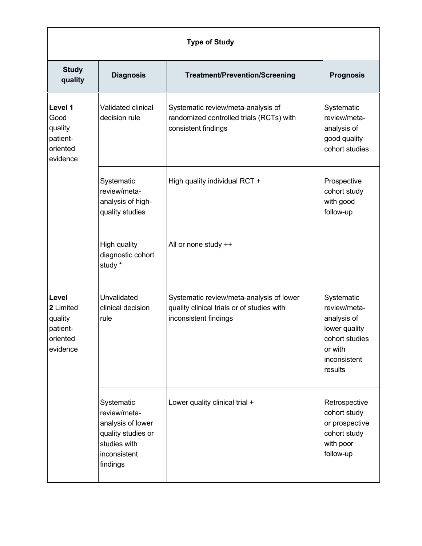| <b>Type of Study</b>                                              |                                                                                                                   |                                                                                                                 |                                                                                                                    |  |
|-------------------------------------------------------------------|-------------------------------------------------------------------------------------------------------------------|-----------------------------------------------------------------------------------------------------------------|--------------------------------------------------------------------------------------------------------------------|--|
| <b>Study</b><br>quality                                           | <b>Diagnosis</b>                                                                                                  | <b>Treatment/Prevention/Screening</b>                                                                           | <b>Prognosis</b>                                                                                                   |  |
| Level 1<br>Good<br>quality<br>patient-<br>oriented<br>evidence    | Validated clinical<br>decision rule                                                                               | Systematic review/meta-analysis of<br>randomized controlled trials (RCTs) with<br>consistent findings           | Systematic<br>review/meta-<br>analysis of<br>good quality<br>cohort studies                                        |  |
|                                                                   | Systematic<br>review/meta-<br>analysis of high-<br>quality studies                                                | High quality individual RCT +                                                                                   | Prospective<br>cohort study<br>with good<br>follow-up                                                              |  |
|                                                                   | High quality<br>diagnostic cohort<br>study *                                                                      | All or none study ++                                                                                            |                                                                                                                    |  |
| Level<br>2 Limited<br>quality<br>patient-<br>oriented<br>evidence | Unvalidated<br>clinical decision<br>rule                                                                          | Systematic review/meta-analysis of lower<br>quality clinical trials or of studies with<br>inconsistent findings | Systematic<br>review/meta-<br>analysis of<br>lower quality<br>cohort studies<br>or with<br>inconsistent<br>results |  |
|                                                                   | Systematic<br>review/meta-<br>analysis of lower<br>quality studies or<br>studies with<br>inconsistent<br>findings | Lower quality clinical trial +                                                                                  | Retrospective<br>cohort study<br>or prospective<br>cohort study<br>with poor<br>follow-up                          |  |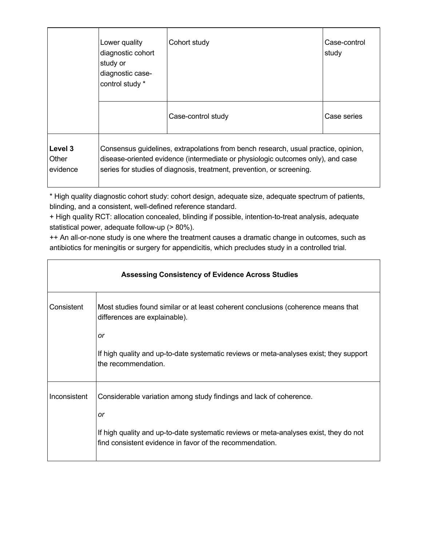|                              | Lower quality<br>diagnostic cohort<br>study or<br>diagnostic case-<br>control study * | Cohort study                                                                                                                                                                                                                                   | Case-control<br>study |  |
|------------------------------|---------------------------------------------------------------------------------------|------------------------------------------------------------------------------------------------------------------------------------------------------------------------------------------------------------------------------------------------|-----------------------|--|
|                              |                                                                                       | Case-control study                                                                                                                                                                                                                             | Case series           |  |
| Level 3<br>Other<br>evidence |                                                                                       | Consensus guidelines, extrapolations from bench research, usual practice, opinion,<br>disease-oriented evidence (intermediate or physiologic outcomes only), and case<br>series for studies of diagnosis, treatment, prevention, or screening. |                       |  |

\* High quality diagnostic cohort study: cohort design, adequate size, adequate spectrum of patients, blinding, and a consistent, well-defined reference standard.

+ High quality RCT: allocation concealed, blinding if possible, intention-to-treat analysis, adequate statistical power, adequate follow-up (> 80%).

++ An all-or-none study is one where the treatment causes a dramatic change in outcomes, such as antibiotics for meningitis or surgery for appendicitis, which precludes study in a controlled trial.

| <b>Assessing Consistency of Evidence Across Studies</b> |                                                                                                                                                   |  |
|---------------------------------------------------------|---------------------------------------------------------------------------------------------------------------------------------------------------|--|
| Consistent                                              | Most studies found similar or at least coherent conclusions (coherence means that<br>differences are explainable).<br>or                          |  |
|                                                         | If high quality and up-to-date systematic reviews or meta-analyses exist; they support<br>the recommendation.                                     |  |
| Inconsistent                                            | Considerable variation among study findings and lack of coherence.<br>or                                                                          |  |
|                                                         | If high quality and up-to-date systematic reviews or meta-analyses exist, they do not<br>find consistent evidence in favor of the recommendation. |  |